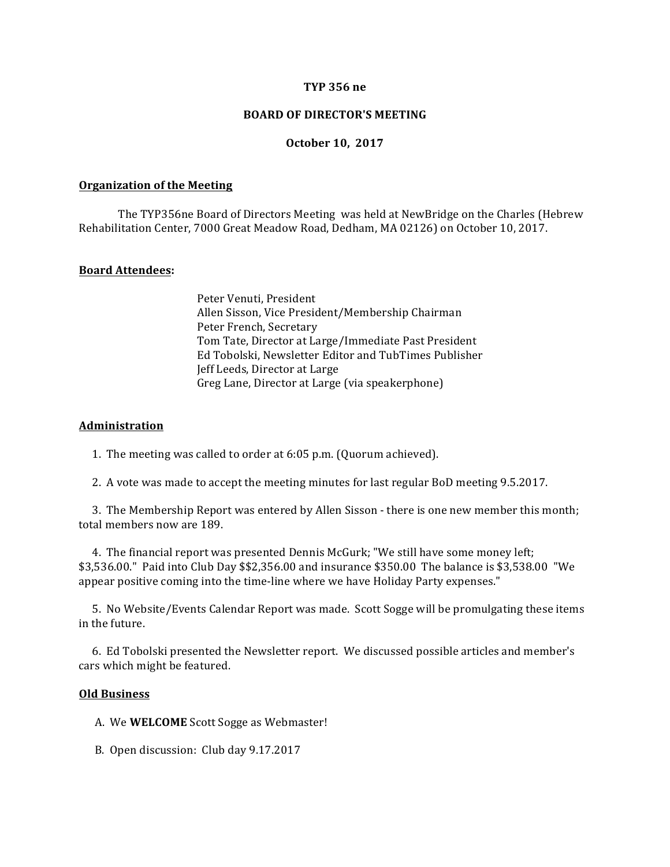## **TYP 356 ne**

## **BOARD OF DIRECTOR'S MEETING**

## **October 10, 2017**

### **Organization of the Meeting**

The TYP356ne Board of Directors Meeting was held at NewBridge on the Charles (Hebrew Rehabilitation Center, 7000 Great Meadow Road, Dedham, MA 02126) on October 10, 2017.

## **Board Attendees:**

Peter Venuti, President Allen Sisson, Vice President/Membership Chairman Peter French, Secretary Tom Tate, Director at Large/Immediate Past President Ed Tobolski, Newsletter Editor and TubTimes Publisher Jeff Leeds, Director at Large Greg Lane, Director at Large (via speakerphone)

#### **Administration**

1. The meeting was called to order at  $6:05$  p.m. (Quorum achieved).

2. A vote was made to accept the meeting minutes for last regular BoD meeting 9.5.2017.

3. The Membership Report was entered by Allen Sisson - there is one new member this month; total members now are 189.

4. The financial report was presented Dennis McGurk; "We still have some money left;  $$3,536.00$ ." Paid into Club Day  $$2,356.00$  and insurance  $$350.00$  The balance is  $$3,538.00$  "We appear positive coming into the time-line where we have Holiday Party expenses."

5. No Website/Events Calendar Report was made. Scott Sogge will be promulgating these items in the future.

6. Ed Tobolski presented the Newsletter report. We discussed possible articles and member's cars which might be featured.

#### **Old Business**

A. We **WELCOME** Scott Sogge as Webmaster!

B. Open discussion: Club day 9.17.2017